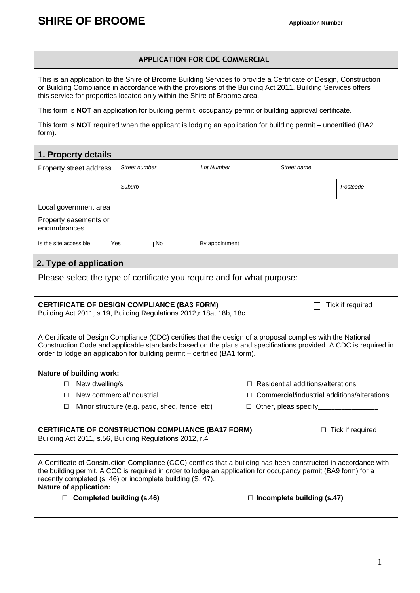## **APPLICATION FOR CDC COMMERCIAL**

This is an application to the Shire of Broome Building Services to provide a Certificate of Design, Construction or Building Compliance in accordance with the provisions of the Building Act 2011. Building Services offers this service for properties located only within the Shire of Broome area.

This form is **NOT** an application for building permit, occupancy permit or building approval certificate.

This form is **NOT** required when the applicant is lodging an application for building permit – uncertified (BA2 form).

| 1. Property details                                          |               |                   |             |          |
|--------------------------------------------------------------|---------------|-------------------|-------------|----------|
| Property street address                                      | Street number | <b>Lot Number</b> | Street name |          |
|                                                              | Suburb        |                   |             | Postcode |
| Local government area                                        |               |                   |             |          |
| Property easements or<br>encumbrances                        |               |                   |             |          |
| Is the site accessible<br>$\Box$ Yes<br>By appointment<br>No |               |                   |             |          |

## **2. Type of application**

Please select the type of certificate you require and for what purpose:

|                                                                                                                                                                                                                                                                                                                                  | <b>CERTIFICATE OF DESIGN COMPLIANCE (BA3 FORM)</b><br>Building Act 2011, s.19, Building Regulations 2012, r.18a, 18b, 18c | Tick if required                            |  |
|----------------------------------------------------------------------------------------------------------------------------------------------------------------------------------------------------------------------------------------------------------------------------------------------------------------------------------|---------------------------------------------------------------------------------------------------------------------------|---------------------------------------------|--|
| A Certificate of Design Compliance (CDC) certifies that the design of a proposal complies with the National<br>Construction Code and applicable standards based on the plans and specifications provided. A CDC is required in<br>order to lodge an application for building permit - certified (BA1 form).                      |                                                                                                                           |                                             |  |
|                                                                                                                                                                                                                                                                                                                                  | Nature of building work:                                                                                                  |                                             |  |
| П                                                                                                                                                                                                                                                                                                                                | New dwelling/s                                                                                                            | Residential additions/alterations           |  |
| П                                                                                                                                                                                                                                                                                                                                | New commercial/industrial                                                                                                 | Commercial/industrial additions/alterations |  |
| $\Box$                                                                                                                                                                                                                                                                                                                           | Minor structure (e.g. patio, shed, fence, etc)                                                                            | Other, pleas specify___________<br>$\Box$   |  |
|                                                                                                                                                                                                                                                                                                                                  | <b>CERTIFICATE OF CONSTRUCTION COMPLIANCE (BA17 FORM)</b><br>Building Act 2011, s.56, Building Regulations 2012, r.4      | Tick if required                            |  |
| A Certificate of Construction Compliance (CCC) certifies that a building has been constructed in accordance with<br>the building permit. A CCC is required in order to lodge an application for occupancy permit (BA9 form) for a<br>recently completed (s. 46) or incomplete building (S. 47).<br><b>Nature of application:</b> |                                                                                                                           |                                             |  |
|                                                                                                                                                                                                                                                                                                                                  | <b>Completed building (s.46)</b>                                                                                          | $\Box$ Incomplete building (s.47)           |  |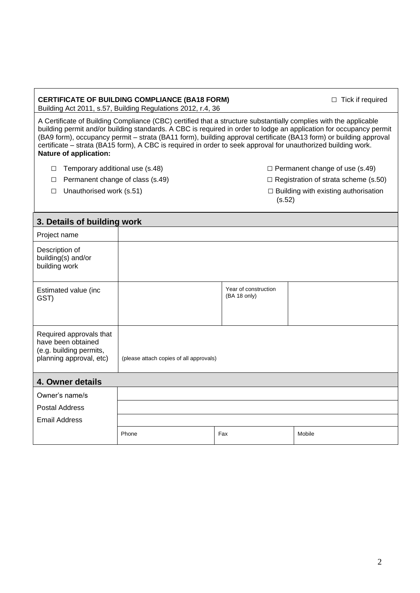Building Act 2011, s.57, Building Regulations 2012, r.4, 36

A Certificate of Building Compliance (CBC) certified that a structure substantially complies with the applicable building permit and/or building standards. A CBC is required in order to lodge an application for occupancy permit (BA9 form), occupancy permit – strata (BA11 form), building approval certificate (BA13 form) or building approval certificate – strata (BA15 form), A CBC is required in order to seek approval for unauthorized building work. **Nature of application:**

- $\Box$  Temporary additional use (s.48)  $\Box$  Permanent change of use (s.49)
- 
- 
- 
- □ Permanent change of class (s.49)  $□$  Registration of strata scheme (s.50)
- □ Unauthorised work (s.51)  $□$  Building with existing authorisation (s.52)

| 3. Details of building work                                                                         |                                         |                                      |        |
|-----------------------------------------------------------------------------------------------------|-----------------------------------------|--------------------------------------|--------|
| Project name                                                                                        |                                         |                                      |        |
| Description of<br>building(s) and/or<br>building work                                               |                                         |                                      |        |
| Estimated value (inc<br>GST)                                                                        |                                         | Year of construction<br>(BA 18 only) |        |
| Required approvals that<br>have been obtained<br>(e.g. building permits,<br>planning approval, etc) | (please attach copies of all approvals) |                                      |        |
| 4. Owner details                                                                                    |                                         |                                      |        |
| Owner's name/s                                                                                      |                                         |                                      |        |
| <b>Postal Address</b>                                                                               |                                         |                                      |        |
| <b>Email Address</b>                                                                                |                                         |                                      |        |
|                                                                                                     | Phone                                   | Fax                                  | Mobile |